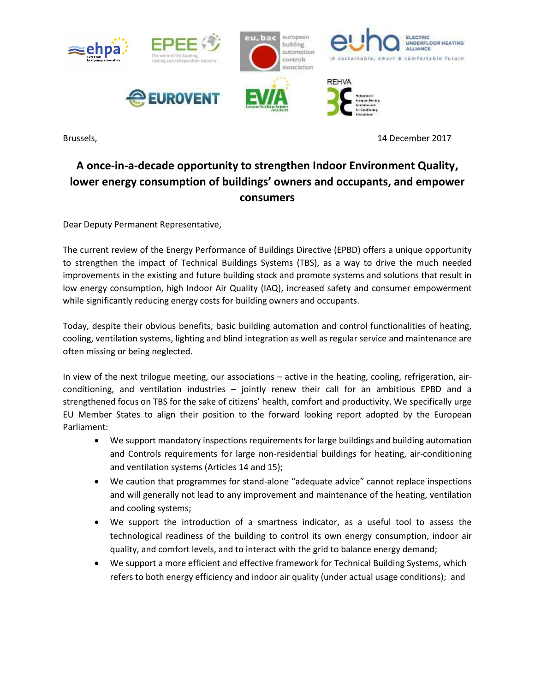

Brussels, 14 December 2017

## **A once-in-a-decade opportunity to strengthen Indoor Environment Quality, lower energy consumption of buildings' owners and occupants, and empower consumers**

Dear Deputy Permanent Representative,

The current review of the [Energy Performance of Buildings Directive](http://ec.europa.eu/energy/sites/ener/files/documents/1_en_act_part1_v10.pdf) (EPBD) offers a unique opportunity to strengthen the impact of Technical Buildings Systems (TBS), as a way to drive the much needed improvements in the existing and future building stock and promote systems and solutions that result in low energy consumption, high Indoor Air Quality (IAQ), increased safety and consumer empowerment while significantly reducing energy costs for building owners and occupants.

Today, despite their obvious benefits, basic building automation and control functionalities of heating, cooling, ventilation systems, lighting and blind integration as well as regular service and maintenance are often missing or being neglected.

In view of the next trilogue meeting, our associations – active in the heating, cooling, refrigeration, airconditioning, and ventilation industries – jointly renew their call for an ambitious EPBD and a strengthened focus on TBS for the sake of citizens' health, comfort and productivity. We specifically urge EU Member States to align their position to the forward looking report adopted by the European Parliament:

- We support mandatory inspections requirements for large buildings and building automation and Controls requirements for large non-residential buildings for heating, air-conditioning and ventilation systems (Articles 14 and 15);
- We caution that programmes for stand-alone "adequate advice" cannot replace inspections and will generally not lead to any improvement and maintenance of the heating, ventilation and cooling systems;
- We support the introduction of a smartness indicator, as a useful tool to assess the technological readiness of the building to control its own energy consumption, indoor air quality, and comfort levels, and to interact with the grid to balance energy demand;
- We support a more efficient and effective framework for Technical Building Systems, which refers to both energy efficiency and indoor air quality (under actual usage conditions); and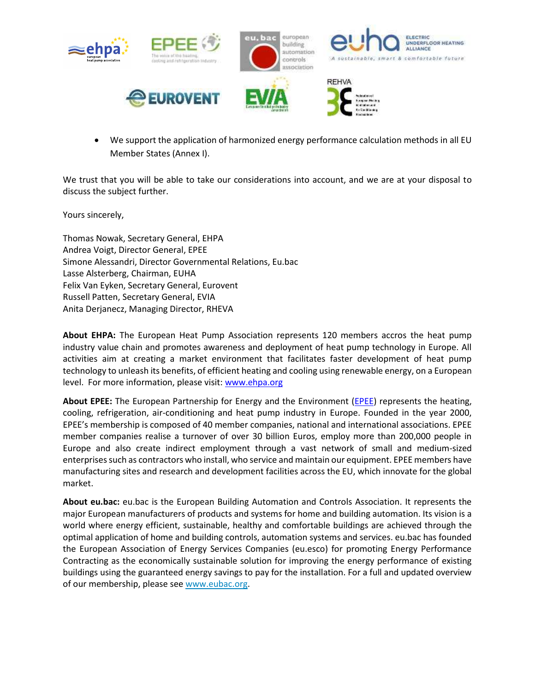

 We support the application of harmonized energy performance calculation methods in all EU Member States (Annex I).

We trust that you will be able to take our considerations into account, and we are at your disposal to discuss the subject further.

Yours sincerely,

Thomas Nowak, Secretary General, EHPA Andrea Voigt, Director General, EPEE Simone Alessandri, Director Governmental Relations, Eu.bac Lasse Alsterberg, Chairman, EUHA Felix Van Eyken, Secretary General, Eurovent Russell Patten, Secretary General, EVIA Anita Derjanecz, Managing Director, RHEVA

**About EHPA:** The European Heat Pump Association represents 120 members accros the heat pump industry value chain and promotes awareness and deployment of heat pump technology in Europe. All activities aim at creating a market environment that facilitates faster development of heat pump technology to unleash its benefits, of efficient heating and cooling using renewable energy, on a European level. For more information, please visit: [www.ehpa.org](http://www.ehpa.org/) 

**About EPEE:** The European Partnership for Energy and the Environment [\(EPEE\)](https://www.epeeglobal.org/wp-content/uploads/EPBD-Industry-Roundtable-15-May-2017-FINAL-with-Associations-positions.pdf) represents the heating, cooling, refrigeration, air-conditioning and heat pump industry in Europe. Founded in the year 2000, EPEE's membership is composed of 40 member companies, national and international associations. EPEE member companies realise a turnover of over 30 billion Euros, employ more than 200,000 people in Europe and also create indirect employment through a vast network of small and medium-sized enterprises such as contractors who install, who service and maintain our equipment. EPEE members have manufacturing sites and research and development facilities across the EU, which innovate for the global market.

**About eu.bac:** eu.bac is the European Building Automation and Controls Association. It represents the major European manufacturers of products and systems for home and building automation. Its vision is a world where energy efficient, sustainable, healthy and comfortable buildings are achieved through the optimal application of home and building controls, automation systems and services. eu.bac has founded the European Association of Energy Services Companies (eu.esco) for promoting Energy Performance Contracting as the economically sustainable solution for improving the energy performance of existing buildings using the guaranteed energy savings to pay for the installation. For a full and updated overview of our membership, please see [www.eubac.org.](http://www.eubac.org/)